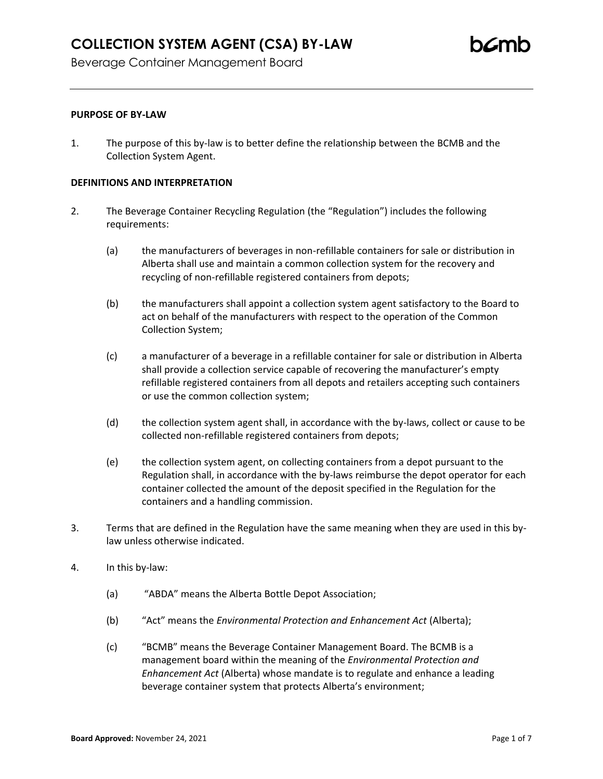## **PURPOSE OF BY-LAW**

1. The purpose of this by-law is to better define the relationship between the BCMB and the Collection System Agent.

#### **DEFINITIONS AND INTERPRETATION**

- 2. The Beverage Container Recycling Regulation (the "Regulation") includes the following requirements:
	- (a) the manufacturers of beverages in non-refillable containers for sale or distribution in Alberta shall use and maintain a common collection system for the recovery and recycling of non-refillable registered containers from depots;
	- (b) the manufacturers shall appoint a collection system agent satisfactory to the Board to act on behalf of the manufacturers with respect to the operation of the Common Collection System;
	- (c) a manufacturer of a beverage in a refillable container for sale or distribution in Alberta shall provide a collection service capable of recovering the manufacturer's empty refillable registered containers from all depots and retailers accepting such containers or use the common collection system;
	- (d) the collection system agent shall, in accordance with the by-laws, collect or cause to be collected non-refillable registered containers from depots;
	- (e) the collection system agent, on collecting containers from a depot pursuant to the Regulation shall, in accordance with the by-laws reimburse the depot operator for each container collected the amount of the deposit specified in the Regulation for the containers and a handling commission.
- 3. Terms that are defined in the Regulation have the same meaning when they are used in this bylaw unless otherwise indicated.
- 4. In this by-law:
	- (a) "ABDA" means the Alberta Bottle Depot Association;
	- (b) "Act" means the *Environmental Protection and Enhancement Act* (Alberta);
	- (c) "BCMB" means the Beverage Container Management Board. The BCMB is a management board within the meaning of the *Environmental Protection and Enhancement Act* (Alberta) whose mandate is to regulate and enhance a leading beverage container system that protects Alberta's environment;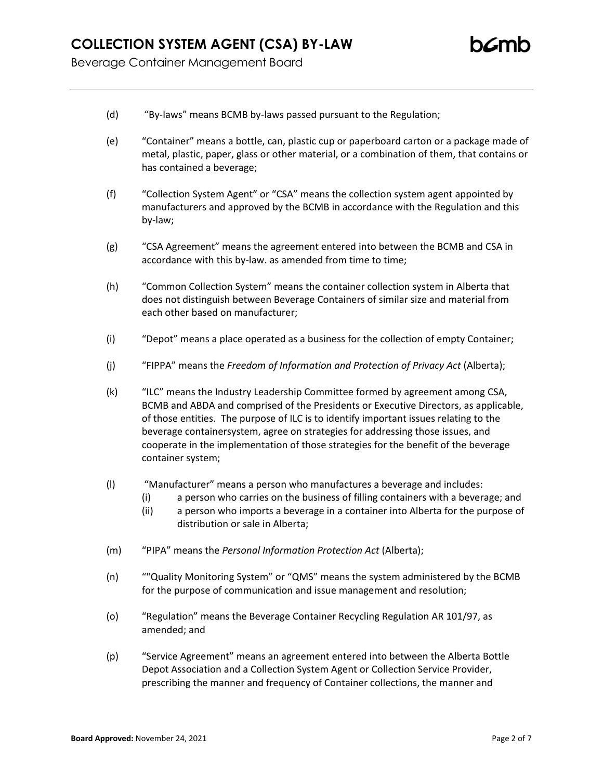- (d) "By-laws" means BCMB by-laws passed pursuant to the Regulation;
- (e) "Container" means a bottle, can, plastic cup or paperboard carton or a package made of metal, plastic, paper, glass or other material, or a combination of them, that contains or has contained a beverage;
- (f) "Collection System Agent" or "CSA" means the collection system agent appointed by manufacturers and approved by the BCMB in accordance with the Regulation and this by-law;
- (g) "CSA Agreement" means the agreement entered into between the BCMB and CSA in accordance with this by-law. as amended from time to time;
- (h) "Common Collection System" means the container collection system in Alberta that does not distinguish between Beverage Containers of similar size and material from each other based on manufacturer;
- (i) "Depot" means a place operated as a business for the collection of empty Container;
- (j) "FIPPA" means the *Freedom of Information and Protection of Privacy Act* (Alberta);
- (k) "ILC" means the Industry Leadership Committee formed by agreement among CSA, BCMB and ABDA and comprised of the Presidents or Executive Directors, as applicable, of those entities. The purpose of ILC is to identify important issues relating to the beverage containersystem, agree on strategies for addressing those issues, and cooperate in the implementation of those strategies for the benefit of the beverage container system;
- (l) "Manufacturer" means a person who manufactures a beverage and includes:
	- (i) a person who carries on the business of filling containers with a beverage; and
	- (ii) a person who imports a beverage in a container into Alberta for the purpose of distribution or sale in Alberta;
- (m) "PIPA" means the *Personal Information Protection Act* (Alberta);
- (n) ""Quality Monitoring System" or "QMS" means the system administered by the BCMB for the purpose of communication and issue management and resolution;
- (o) "Regulation" means the Beverage Container Recycling Regulation AR 101/97, as amended; and
- (p) "Service Agreement" means an agreement entered into between the Alberta Bottle Depot Association and a Collection System Agent or Collection Service Provider, prescribing the manner and frequency of Container collections, the manner and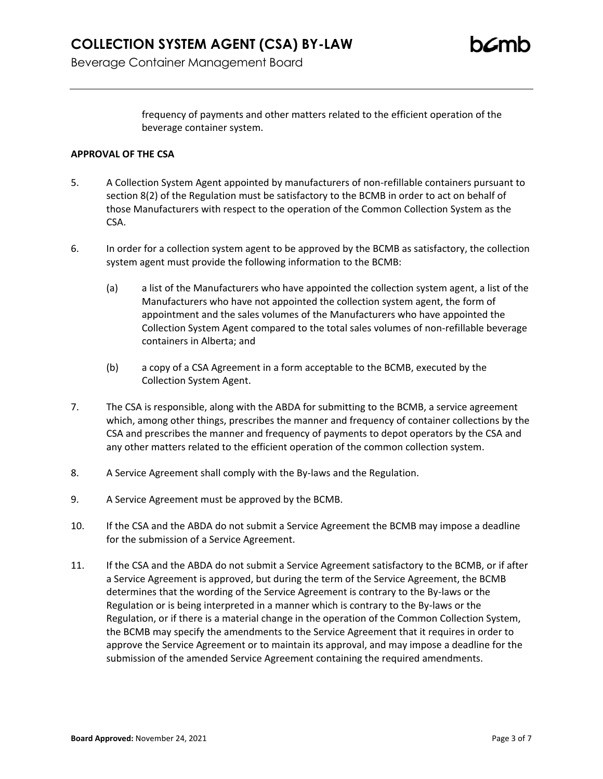# **COLLECTION SYSTEM AGENT (CSA) BY-LAW**

Beverage Container Management Board

frequency of payments and other matters related to the efficient operation of the beverage container system.

#### **APPROVAL OF THE CSA**

- 5. A Collection System Agent appointed by manufacturers of non-refillable containers pursuant to section 8(2) of the Regulation must be satisfactory to the BCMB in order to act on behalf of those Manufacturers with respect to the operation of the Common Collection System as the CSA.
- 6. In order for a collection system agent to be approved by the BCMB as satisfactory, the collection system agent must provide the following information to the BCMB:
	- (a) a list of the Manufacturers who have appointed the collection system agent, a list of the Manufacturers who have not appointed the collection system agent, the form of appointment and the sales volumes of the Manufacturers who have appointed the Collection System Agent compared to the total sales volumes of non-refillable beverage containers in Alberta; and
	- (b) a copy of a CSA Agreement in a form acceptable to the BCMB, executed by the Collection System Agent.
- 7. The CSA is responsible, along with the ABDA for submitting to the BCMB, a service agreement which, among other things, prescribes the manner and frequency of container collections by the CSA and prescribes the manner and frequency of payments to depot operators by the CSA and any other matters related to the efficient operation of the common collection system.
- 8. A Service Agreement shall comply with the By-laws and the Regulation.
- 9. A Service Agreement must be approved by the BCMB.
- 10. If the CSA and the ABDA do not submit a Service Agreement the BCMB may impose a deadline for the submission of a Service Agreement.
- 11. If the CSA and the ABDA do not submit a Service Agreement satisfactory to the BCMB, or if after a Service Agreement is approved, but during the term of the Service Agreement, the BCMB determines that the wording of the Service Agreement is contrary to the By-laws or the Regulation or is being interpreted in a manner which is contrary to the By-laws or the Regulation, or if there is a material change in the operation of the Common Collection System, the BCMB may specify the amendments to the Service Agreement that it requires in order to approve the Service Agreement or to maintain its approval, and may impose a deadline for the submission of the amended Service Agreement containing the required amendments.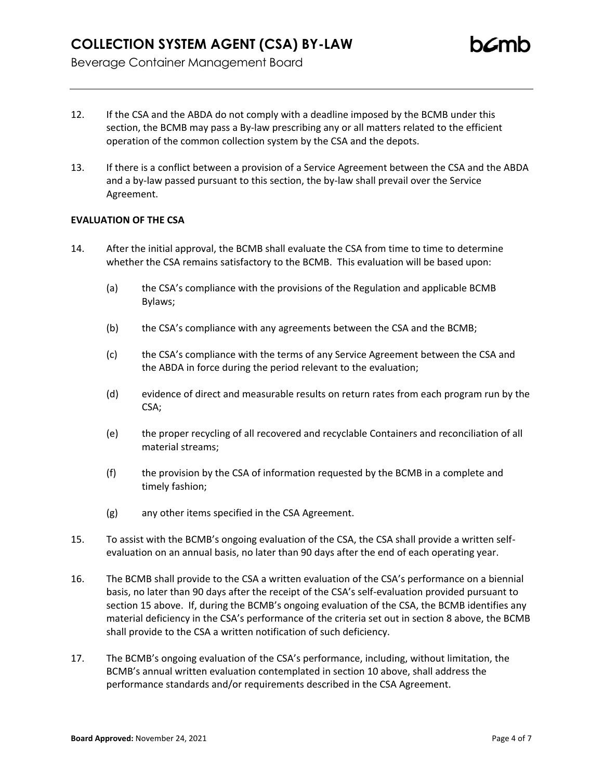- 12. If the CSA and the ABDA do not comply with a deadline imposed by the BCMB under this section, the BCMB may pass a By-law prescribing any or all matters related to the efficient operation of the common collection system by the CSA and the depots.
- 13. If there is a conflict between a provision of a Service Agreement between the CSA and the ABDA and a by-law passed pursuant to this section, the by-law shall prevail over the Service Agreement.

# **EVALUATION OF THE CSA**

- 14. After the initial approval, the BCMB shall evaluate the CSA from time to time to determine whether the CSA remains satisfactory to the BCMB. This evaluation will be based upon:
	- (a) the CSA's compliance with the provisions of the Regulation and applicable BCMB Bylaws;
	- (b) the CSA's compliance with any agreements between the CSA and the BCMB;
	- (c) the CSA's compliance with the terms of any Service Agreement between the CSA and the ABDA in force during the period relevant to the evaluation;
	- (d) evidence of direct and measurable results on return rates from each program run by the CSA;
	- (e) the proper recycling of all recovered and recyclable Containers and reconciliation of all material streams;
	- (f) the provision by the CSA of information requested by the BCMB in a complete and timely fashion;
	- (g) any other items specified in the CSA Agreement.
- 15. To assist with the BCMB's ongoing evaluation of the CSA, the CSA shall provide a written selfevaluation on an annual basis, no later than 90 days after the end of each operating year.
- 16. The BCMB shall provide to the CSA a written evaluation of the CSA's performance on a biennial basis, no later than 90 days after the receipt of the CSA's self-evaluation provided pursuant to section 15 above. If, during the BCMB's ongoing evaluation of the CSA, the BCMB identifies any material deficiency in the CSA's performance of the criteria set out in section 8 above, the BCMB shall provide to the CSA a written notification of such deficiency.
- 17. The BCMB's ongoing evaluation of the CSA's performance, including, without limitation, the BCMB's annual written evaluation contemplated in section 10 above, shall address the performance standards and/or requirements described in the CSA Agreement.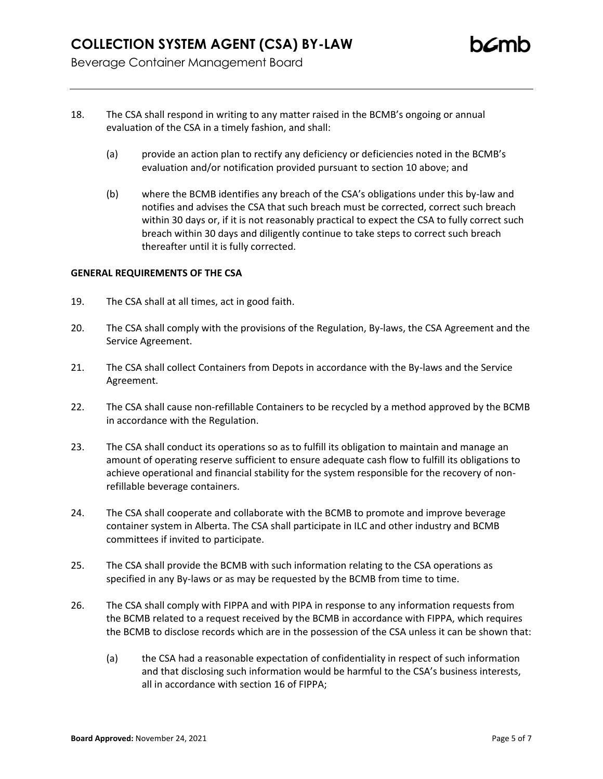- 18. The CSA shall respond in writing to any matter raised in the BCMB's ongoing or annual evaluation of the CSA in a timely fashion, and shall:
	- (a) provide an action plan to rectify any deficiency or deficiencies noted in the BCMB's evaluation and/or notification provided pursuant to section 10 above; and
	- (b) where the BCMB identifies any breach of the CSA's obligations under this by-law and notifies and advises the CSA that such breach must be corrected, correct such breach within 30 days or, if it is not reasonably practical to expect the CSA to fully correct such breach within 30 days and diligently continue to take steps to correct such breach thereafter until it is fully corrected.

## **GENERAL REQUIREMENTS OF THE CSA**

- 19. The CSA shall at all times, act in good faith.
- 20. The CSA shall comply with the provisions of the Regulation, By-laws, the CSA Agreement and the Service Agreement.
- 21. The CSA shall collect Containers from Depots in accordance with the By-laws and the Service Agreement.
- 22. The CSA shall cause non-refillable Containers to be recycled by a method approved by the BCMB in accordance with the Regulation.
- 23. The CSA shall conduct its operations so as to fulfill its obligation to maintain and manage an amount of operating reserve sufficient to ensure adequate cash flow to fulfill its obligations to achieve operational and financial stability for the system responsible for the recovery of nonrefillable beverage containers.
- 24. The CSA shall cooperate and collaborate with the BCMB to promote and improve beverage container system in Alberta. The CSA shall participate in ILC and other industry and BCMB committees if invited to participate.
- 25. The CSA shall provide the BCMB with such information relating to the CSA operations as specified in any By-laws or as may be requested by the BCMB from time to time.
- 26. The CSA shall comply with FIPPA and with PIPA in response to any information requests from the BCMB related to a request received by the BCMB in accordance with FIPPA, which requires the BCMB to disclose records which are in the possession of the CSA unless it can be shown that:
	- (a) the CSA had a reasonable expectation of confidentiality in respect of such information and that disclosing such information would be harmful to the CSA's business interests, all in accordance with section 16 of FIPPA;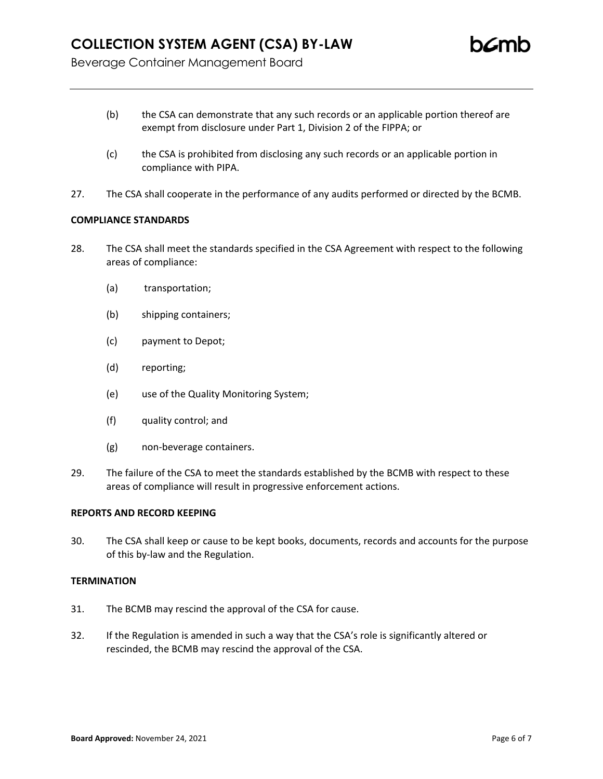- (b) the CSA can demonstrate that any such records or an applicable portion thereof are exempt from disclosure under Part 1, Division 2 of the FIPPA; or
- (c) the CSA is prohibited from disclosing any such records or an applicable portion in compliance with PIPA.
- 27. The CSA shall cooperate in the performance of any audits performed or directed by the BCMB.

# **COMPLIANCE STANDARDS**

- 28. The CSA shall meet the standards specified in the CSA Agreement with respect to the following areas of compliance:
	- (a) transportation;
	- (b) shipping containers;
	- (c) payment to Depot;
	- (d) reporting;
	- (e) use of the Quality Monitoring System;
	- (f) quality control; and
	- (g) non-beverage containers.
- 29. The failure of the CSA to meet the standards established by the BCMB with respect to these areas of compliance will result in progressive enforcement actions.

## **REPORTS AND RECORD KEEPING**

30. The CSA shall keep or cause to be kept books, documents, records and accounts for the purpose of this by-law and the Regulation.

# **TERMINATION**

- 31. The BCMB may rescind the approval of the CSA for cause.
- 32. If the Regulation is amended in such a way that the CSA's role is significantly altered or rescinded, the BCMB may rescind the approval of the CSA.